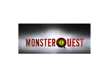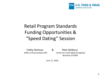

### Retail Program Standards Funding Opportunities & "Speed Dating" Session

Cathy Hosman & Pete Salsbury Office of Partnerships (OP) Center for Food Safety & Applied Nutrition (CFSAN)

June 11, 2018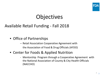

# **Objectives**

#### Available Retail Funding - Fall 2018

- Office of Partnerships
	- Retail Association Cooperative Agreement with the Association of Food & Drug Officials (AFDO)
- Center for Foods & Applied Nutrition
	- Mentorship Program through a Cooperative Agreement with the National Association of County & City Health Officials (NACCHO)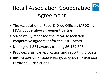

# Retail Association Cooperative Agreement

- The Association of Food & Drug Officials (AFDO) is FDA's cooperative agreement partner
- Successfully managed the Retail Association cooperative agreement for the last 5 years
- Managed 1,521 awards totaling \$6,439,343
- Provides a simple application and reporting process
- 88% of awards to date have gone to local, tribal and territorial jurisdictions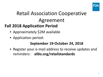

### Retail Association Cooperative Agreement **Fall 2018 Application Period**

- Approximately \$2M available
- Application period:

#### **September 19-October 24, 2018**

• Register your e-mail address to receive updates and reminders: **afdo.org/retailstandards**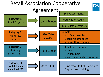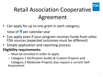

# Retail Association Cooperative Agreement

- Can apply for up to one grant in each category; total of **4** per calendar year
- Can apply even if your program receives funds from other FDA sources (expected outcomes must be different)
- Simple application and reporting process

#### **Eligibility requirements:**

- Must be enrolled in order to apply
- Category 1 Verification Audits & Custom Projects and Category 2 Moderate Projects also require a current Self- Assessment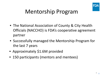

### Mentorship Program

- The National Association of County & City Health Officials (NACCHO) is FDA's cooperative agreement partner
- Successfully managed the Mentorship Program for the last 7 years
- Approximately \$1.6M provided
- 150 participants (mentors and mentees)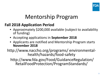

# Mentorship Program

#### **Fall 2018 Application Period**

- Approximately \$200,000 available (subject to availability of funding)
- Accepting applications in **September 2018**
- Applicants are notified and Mentorship Program starts **November 2018**

http://www.naccho.org/programs/ environmental- health/hazards/food-safety

http://www.fda.gov/Food/GuidanceRegulation/ RetailFoodProtection/ProgramStandards/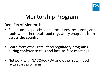

# Mentorship Program

Benefits of Mentorship

- Share sample policies and procedures, resources, and tools with other retail food regulatory programs from across the country
- Learn from other retail food regulatory programs during conference calls and face-to-face meetings
- Network with NACCHO, FDA and other retail food regulatory programs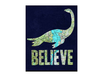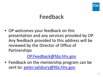

### Feedback

• OP welcomes your feedback on this presentation and any services provided by OP. Any feedback provided to this address will be reviewed by the Director of Office of Partnerships

#### [OP.Feedback@fda.hhs.gov](mailto:OP.Feedback@fda.hhs.gov)

• Feedback on the mentorship program can be sent to: [peter.salsbury@fda.hhs.gov](mailto:peter.salsbury@fda.hhs.gov)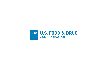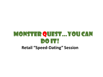### **MONSTER QUEST... YOU CAN** DO IT! **Retail "Speed-Dating" Session**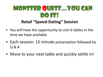### MONSTER QUEST... YOU CAN do it! **Retail "Speed-Dating" Session**

- You will have the opportunity to visit 6 tables in the time we have available
- Each session: 15 minute presentation followed by Q & A
- Move to your next table and quickly settle in!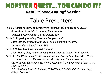# **MONSTER QUEST... YOU CAN DO IT! Retail "Speed-Dating" Session** Table Presenters

Table 1 *"Improve Your Food Protection Program- It's as Easy as P….T….V" Dawn Beck, Associate Director of Public Health, Olmsted County Public Health Services, MN* Table 2 *"Targeting Holding Time and Temperature" Katie Lott, RS, Program Manager, Food & Community Safety, Tacoma- Pierce Health Dept., WA*

Table 3 *"A Two Front War on Risk Factors"*

*Mark Speltz, Chief Inspector, Iowa Department of Inspection & Appeals*

Table 4 *"The Wheelhouse" offering a great selection at low - low prices (free) don't reinvent the wheel – we already have the one you need.*

*Gary Coggins, Environmental Health Manager, New River Health District, VA Dept. of Health*

*Peter Salsbury, Project Manager, FDA/CFSAN/Retail Food Protection Staff, College Park, MD* 16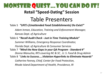# **MONSTER QUEST... YOU CAN DO IT! Retail "Speed-Dating" Session** Table Presenters

#### Table 5 *"UFE's (Unattended Food Establishments) Do Exist!"*

*Adam Inman, Education, Training and Enforcement Manager, Kansas Dept. of Agriculture* 

Table 6 **"***Recall Audit Check - Just in Time Training Module***"**

*Summer Williams, Emergency Response Coordinator,* 

*Florida Dept. of Agriculture & Consumer Services* Table 7 *"Mind the New Gaps in your QA Program - Standard 4" Donna Wanucha, RFS covering NC & SC , U. S. Food & Drug Admin* Table 8 "*Links to Success…..Violation Hyperlinks to Eliminate Hazards" Catherine Feeney, Chief, Center for Food Protection, Rhode Island Department of Health, Providence, RI*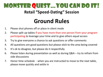### **MONSTER QUEST... YOU CAN DO IT!**

### **Retail "Speed-Dating" Session**

# **Ground Rules**

- 1. Please shut phones off or place in silent mode
- 2. Please split up tables if you have more than one person from your program participating to leverage your time and to give others equal access
- 3. Try to give everyone a chance to ask questions or offer comments
- 4. All questions are good questions but please stick to the area being covered
- 5. It's ok to disagree, but please do it respectfully
- 6. Please listen during presentation as well as during Q&A try to refrain from side discussions
- 7. Honor time schedule when you are instructed to move to the next table, please move quickly and settle in